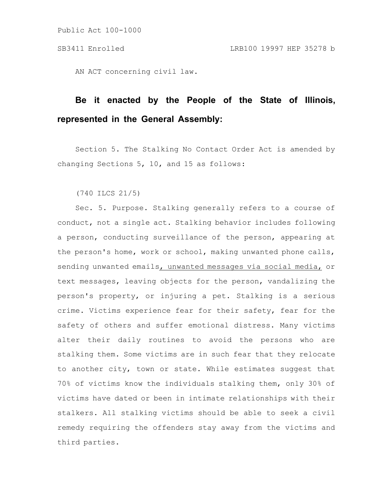Public Act 100-1000

AN ACT concerning civil law.

## **Be it enacted by the People of the State of Illinois, represented in the General Assembly:**

Section 5. The Stalking No Contact Order Act is amended by changing Sections 5, 10, and 15 as follows:

(740 ILCS 21/5)

Sec. 5. Purpose. Stalking generally refers to a course of conduct, not a single act. Stalking behavior includes following a person, conducting surveillance of the person, appearing at the person's home, work or school, making unwanted phone calls, sending unwanted emails, unwanted messages via social media, or text messages, leaving objects for the person, vandalizing the person's property, or injuring a pet. Stalking is a serious crime. Victims experience fear for their safety, fear for the safety of others and suffer emotional distress. Many victims alter their daily routines to avoid the persons who are stalking them. Some victims are in such fear that they relocate to another city, town or state. While estimates suggest that 70% of victims know the individuals stalking them, only 30% of victims have dated or been in intimate relationships with their stalkers. All stalking victims should be able to seek a civil remedy requiring the offenders stay away from the victims and third parties.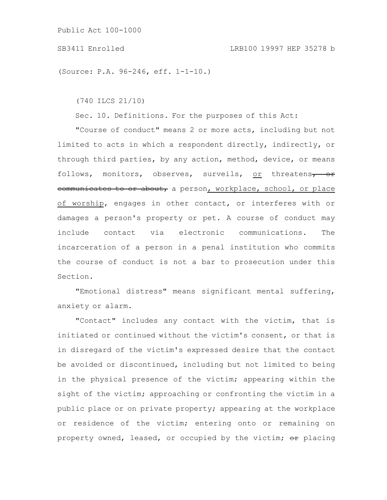Public Act 100-1000

(Source: P.A. 96-246, eff. 1-1-10.)

(740 ILCS 21/10)

Sec. 10. Definitions. For the purposes of this Act:

"Course of conduct" means 2 or more acts, including but not limited to acts in which a respondent directly, indirectly, or through third parties, by any action, method, device, or means follows, monitors, observes, surveils, or threatens<del>, or</del> communicates to or about, a person, workplace, school, or place of worship, engages in other contact, or interferes with or damages a person's property or pet. A course of conduct may include contact via electronic communications. The incarceration of a person in a penal institution who commits the course of conduct is not a bar to prosecution under this Section.

"Emotional distress" means significant mental suffering, anxiety or alarm.

"Contact" includes any contact with the victim, that is initiated or continued without the victim's consent, or that is in disregard of the victim's expressed desire that the contact be avoided or discontinued, including but not limited to being in the physical presence of the victim; appearing within the sight of the victim; approaching or confronting the victim in a public place or on private property; appearing at the workplace or residence of the victim; entering onto or remaining on property owned, leased, or occupied by the victim;  $\Theta$ r placing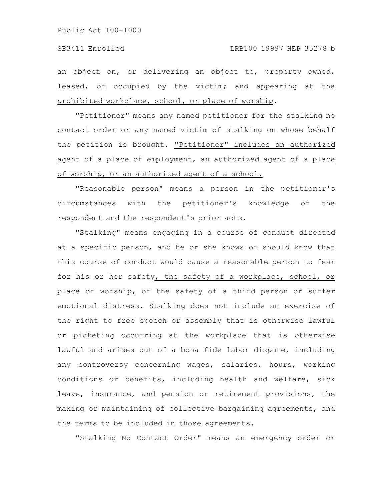an object on, or delivering an object to, property owned, leased, or occupied by the victim; and appearing at the prohibited workplace, school, or place of worship.

"Petitioner" means any named petitioner for the stalking no contact order or any named victim of stalking on whose behalf the petition is brought. "Petitioner" includes an authorized agent of a place of employment, an authorized agent of a place of worship, or an authorized agent of a school.

"Reasonable person" means a person in the petitioner's circumstances with the petitioner's knowledge of the respondent and the respondent's prior acts.

"Stalking" means engaging in a course of conduct directed at a specific person, and he or she knows or should know that this course of conduct would cause a reasonable person to fear for his or her safety, the safety of a workplace, school, or place of worship, or the safety of a third person or suffer emotional distress. Stalking does not include an exercise of the right to free speech or assembly that is otherwise lawful or picketing occurring at the workplace that is otherwise lawful and arises out of a bona fide labor dispute, including any controversy concerning wages, salaries, hours, working conditions or benefits, including health and welfare, sick leave, insurance, and pension or retirement provisions, the making or maintaining of collective bargaining agreements, and the terms to be included in those agreements.

"Stalking No Contact Order" means an emergency order or